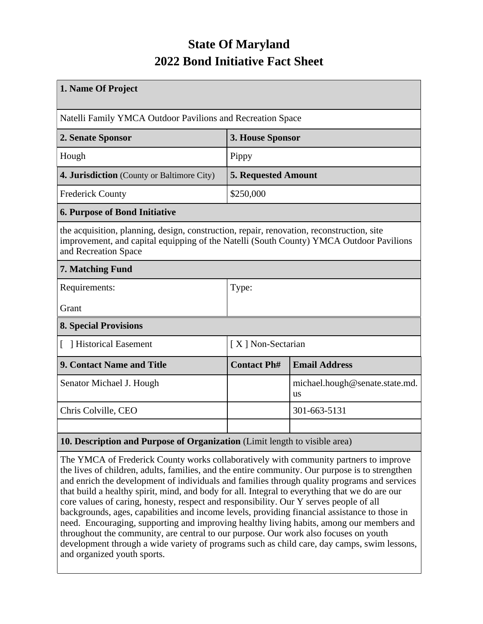## **State Of Maryland 2022 Bond Initiative Fact Sheet**

| 1. Name Of Project                                                                                                                                                                                           |                            |                                             |  |  |  |
|--------------------------------------------------------------------------------------------------------------------------------------------------------------------------------------------------------------|----------------------------|---------------------------------------------|--|--|--|
| Natelli Family YMCA Outdoor Pavilions and Recreation Space                                                                                                                                                   |                            |                                             |  |  |  |
| 2. Senate Sponsor                                                                                                                                                                                            | 3. House Sponsor           |                                             |  |  |  |
| Hough                                                                                                                                                                                                        | Pippy                      |                                             |  |  |  |
| 4. Jurisdiction (County or Baltimore City)                                                                                                                                                                   | <b>5. Requested Amount</b> |                                             |  |  |  |
| <b>Frederick County</b>                                                                                                                                                                                      | \$250,000                  |                                             |  |  |  |
| <b>6. Purpose of Bond Initiative</b>                                                                                                                                                                         |                            |                                             |  |  |  |
| the acquisition, planning, design, construction, repair, renovation, reconstruction, site<br>improvement, and capital equipping of the Natelli (South County) YMCA Outdoor Pavilions<br>and Recreation Space |                            |                                             |  |  |  |
| 7. Matching Fund                                                                                                                                                                                             |                            |                                             |  |  |  |
| Requirements:                                                                                                                                                                                                | Type:                      |                                             |  |  |  |
| Grant                                                                                                                                                                                                        |                            |                                             |  |  |  |
| <b>8. Special Provisions</b>                                                                                                                                                                                 |                            |                                             |  |  |  |
| [ ] Historical Easement                                                                                                                                                                                      | [X] Non-Sectarian          |                                             |  |  |  |
| 9. Contact Name and Title                                                                                                                                                                                    | <b>Contact Ph#</b>         | <b>Email Address</b>                        |  |  |  |
| Senator Michael J. Hough                                                                                                                                                                                     |                            | michael.hough@senate.state.md.<br><b>us</b> |  |  |  |
| Chris Colville, CEO                                                                                                                                                                                          |                            | 301-663-5131                                |  |  |  |
|                                                                                                                                                                                                              |                            |                                             |  |  |  |
| 10. Description and Purpose of Organization (Limit length to visible area)                                                                                                                                   |                            |                                             |  |  |  |

The YMCA of Frederick County works collaboratively with community partners to improve the lives of children, adults, families, and the entire community. Our purpose is to strengthen and enrich the development of individuals and families through quality programs and services that build a healthy spirit, mind, and body for all. Integral to everything that we do are our core values of caring, honesty, respect and responsibility. Our Y serves people of all backgrounds, ages, capabilities and income levels, providing financial assistance to those in need. Encouraging, supporting and improving healthy living habits, among our members and throughout the community, are central to our purpose. Our work also focuses on youth development through a wide variety of programs such as child care, day camps, swim lessons, and organized youth sports.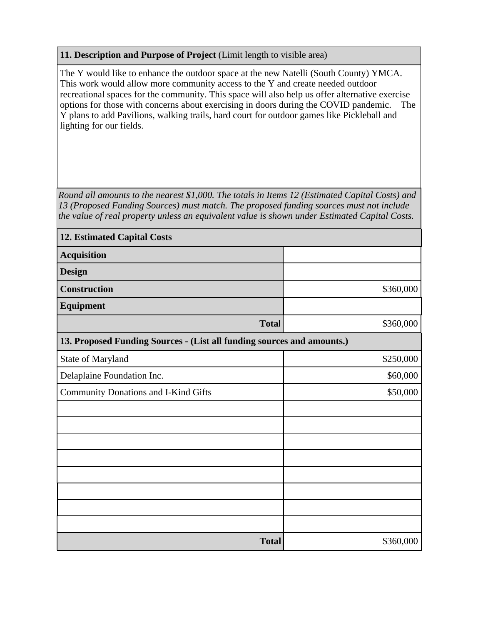## **11. Description and Purpose of Project** (Limit length to visible area)

The Y would like to enhance the outdoor space at the new Natelli (South County) YMCA. This work would allow more community access to the Y and create needed outdoor recreational spaces for the community. This space will also help us offer alternative exercise options for those with concerns about exercising in doors during the COVID pandemic. The Y plans to add Pavilions, walking trails, hard court for outdoor games like Pickleball and lighting for our fields.

*Round all amounts to the nearest \$1,000. The totals in Items 12 (Estimated Capital Costs) and 13 (Proposed Funding Sources) must match. The proposed funding sources must not include the value of real property unless an equivalent value is shown under Estimated Capital Costs.*

| <b>12. Estimated Capital Costs</b>                                     |           |  |  |  |
|------------------------------------------------------------------------|-----------|--|--|--|
| <b>Acquisition</b>                                                     |           |  |  |  |
| <b>Design</b>                                                          |           |  |  |  |
| <b>Construction</b>                                                    | \$360,000 |  |  |  |
| <b>Equipment</b>                                                       |           |  |  |  |
| <b>Total</b>                                                           | \$360,000 |  |  |  |
| 13. Proposed Funding Sources - (List all funding sources and amounts.) |           |  |  |  |
| State of Maryland                                                      | \$250,000 |  |  |  |
| Delaplaine Foundation Inc.                                             | \$60,000  |  |  |  |
| <b>Community Donations and I-Kind Gifts</b>                            | \$50,000  |  |  |  |
|                                                                        |           |  |  |  |
|                                                                        |           |  |  |  |
|                                                                        |           |  |  |  |
|                                                                        |           |  |  |  |
|                                                                        |           |  |  |  |
|                                                                        |           |  |  |  |
|                                                                        |           |  |  |  |
|                                                                        |           |  |  |  |
| <b>Total</b>                                                           | \$360,000 |  |  |  |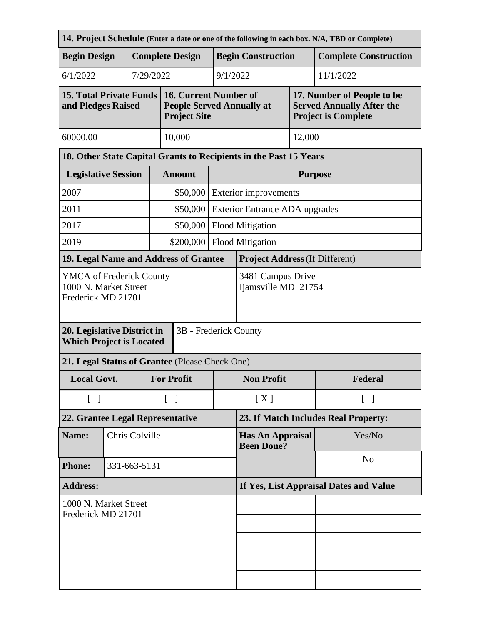| <b>Complete Construction</b><br>17. Number of People to be<br><b>Served Annually After the</b> |  |  |
|------------------------------------------------------------------------------------------------|--|--|
|                                                                                                |  |  |
|                                                                                                |  |  |
|                                                                                                |  |  |
|                                                                                                |  |  |
|                                                                                                |  |  |
| <b>Purpose</b>                                                                                 |  |  |
| <b>Exterior improvements</b>                                                                   |  |  |
| <b>Exterior Entrance ADA upgrades</b>                                                          |  |  |
|                                                                                                |  |  |
|                                                                                                |  |  |
|                                                                                                |  |  |
| 3481 Campus Drive<br>Ijamsville MD 21754                                                       |  |  |
|                                                                                                |  |  |
|                                                                                                |  |  |
|                                                                                                |  |  |
|                                                                                                |  |  |
| 23. If Match Includes Real Property:                                                           |  |  |
|                                                                                                |  |  |
|                                                                                                |  |  |
|                                                                                                |  |  |
| If Yes, List Appraisal Dates and Value                                                         |  |  |
|                                                                                                |  |  |
|                                                                                                |  |  |
|                                                                                                |  |  |
|                                                                                                |  |  |
|                                                                                                |  |  |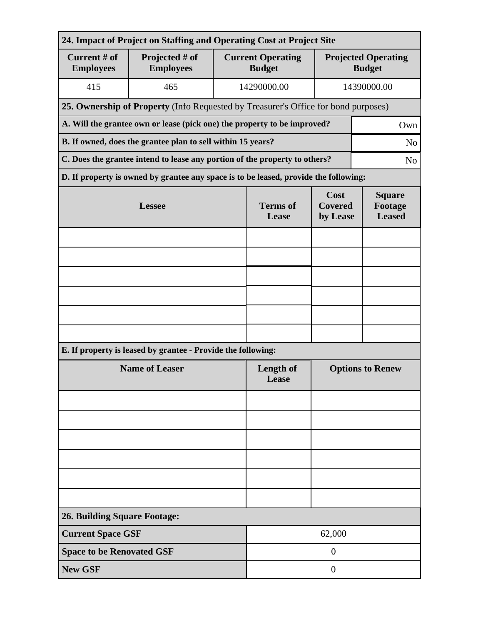| 24. Impact of Project on Staffing and Operating Cost at Project Site |                                                                                      |                                           |                                    |                                             |             |  |  |
|----------------------------------------------------------------------|--------------------------------------------------------------------------------------|-------------------------------------------|------------------------------------|---------------------------------------------|-------------|--|--|
| Current # of<br><b>Employees</b>                                     | Projected # of<br><b>Employees</b>                                                   | <b>Current Operating</b><br><b>Budget</b> |                                    | <b>Projected Operating</b><br><b>Budget</b> |             |  |  |
| 415                                                                  | 465                                                                                  |                                           | 14290000.00                        |                                             | 14390000.00 |  |  |
|                                                                      | 25. Ownership of Property (Info Requested by Treasurer's Office for bond purposes)   |                                           |                                    |                                             |             |  |  |
|                                                                      | A. Will the grantee own or lease (pick one) the property to be improved?<br>Own      |                                           |                                    |                                             |             |  |  |
|                                                                      | B. If owned, does the grantee plan to sell within 15 years?<br>N <sub>o</sub>        |                                           |                                    |                                             |             |  |  |
|                                                                      | C. Does the grantee intend to lease any portion of the property to others?           |                                           |                                    |                                             |             |  |  |
|                                                                      | D. If property is owned by grantee any space is to be leased, provide the following: |                                           |                                    |                                             |             |  |  |
| <b>Lessee</b>                                                        |                                                                                      | <b>Terms</b> of<br>Lease                  | Cost<br><b>Covered</b><br>by Lease | <b>Square</b><br>Footage<br><b>Leased</b>   |             |  |  |
|                                                                      |                                                                                      |                                           |                                    |                                             |             |  |  |
|                                                                      |                                                                                      |                                           |                                    |                                             |             |  |  |
|                                                                      |                                                                                      |                                           |                                    |                                             |             |  |  |
|                                                                      |                                                                                      |                                           |                                    |                                             |             |  |  |
|                                                                      |                                                                                      |                                           |                                    |                                             |             |  |  |
|                                                                      |                                                                                      |                                           |                                    |                                             |             |  |  |
|                                                                      | E. If property is leased by grantee - Provide the following:                         |                                           |                                    |                                             |             |  |  |
| <b>Name of Leaser</b>                                                |                                                                                      | <b>Length of</b><br>Lease                 | <b>Options to Renew</b>            |                                             |             |  |  |
|                                                                      |                                                                                      |                                           |                                    |                                             |             |  |  |
|                                                                      |                                                                                      |                                           |                                    |                                             |             |  |  |
|                                                                      |                                                                                      |                                           |                                    |                                             |             |  |  |
|                                                                      |                                                                                      |                                           |                                    |                                             |             |  |  |
|                                                                      |                                                                                      |                                           |                                    |                                             |             |  |  |
|                                                                      |                                                                                      |                                           |                                    |                                             |             |  |  |
| <b>26. Building Square Footage:</b>                                  |                                                                                      |                                           |                                    |                                             |             |  |  |
| <b>Current Space GSF</b>                                             |                                                                                      |                                           | 62,000                             |                                             |             |  |  |
| <b>Space to be Renovated GSF</b>                                     |                                                                                      |                                           | $\overline{0}$                     |                                             |             |  |  |
| <b>New GSF</b>                                                       |                                                                                      |                                           | $\theta$                           |                                             |             |  |  |